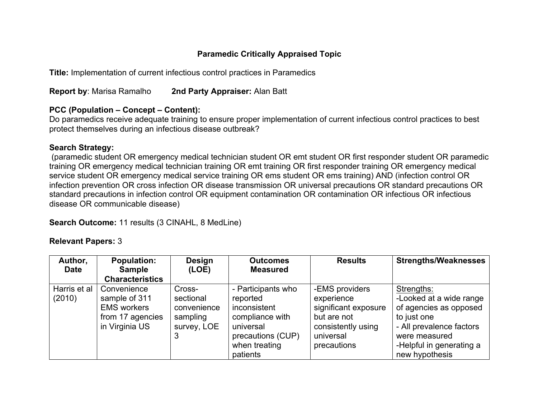# **Paramedic Critically Appraised Topic**

**Title:** Implementation of current infectious control practices in Paramedics

**Report by**: Marisa Ramalho **2nd Party Appraiser:** Alan Batt

### **PCC (Population – Concept – Content):**

Do paramedics receive adequate training to ensure proper implementation of current infectious control practices to best protect themselves during an infectious disease outbreak?

## **Search Strategy:**

(paramedic student OR emergency medical technician student OR emt student OR first responder student OR paramedic training OR emergency medical technician training OR emt training OR first responder training OR emergency medical service student OR emergency medical service training OR ems student OR ems training) AND (infection control OR infection prevention OR cross infection OR disease transmission OR universal precautions OR standard precautions OR standard precautions in infection control OR equipment contamination OR contamination OR infectious OR infectious disease OR communicable disease)

**Search Outcome:** 11 results (3 CINAHL, 8 MedLine)

### **Relevant Papers:** 3

| Author,<br><b>Date</b> | <b>Population:</b><br><b>Sample</b>                                                      | <b>Design</b><br>(LOE)                                        | <b>Outcomes</b><br><b>Measured</b>                                                                                               | <b>Results</b>                                                                                                        | <b>Strengths/Weaknesses</b>                                                                                                                                               |
|------------------------|------------------------------------------------------------------------------------------|---------------------------------------------------------------|----------------------------------------------------------------------------------------------------------------------------------|-----------------------------------------------------------------------------------------------------------------------|---------------------------------------------------------------------------------------------------------------------------------------------------------------------------|
|                        | <b>Characteristics</b>                                                                   |                                                               |                                                                                                                                  |                                                                                                                       |                                                                                                                                                                           |
| Harris et al<br>(2010) | Convenience<br>sample of 311<br><b>EMS</b> workers<br>from 17 agencies<br>in Virginia US | Cross-<br>sectional<br>convenience<br>sampling<br>survey, LOE | - Participants who<br>reported<br>inconsistent<br>compliance with<br>universal<br>precautions (CUP)<br>when treating<br>patients | -EMS providers<br>experience<br>significant exposure<br>but are not<br>consistently using<br>universal<br>precautions | Strengths:<br>-Looked at a wide range<br>of agencies as opposed<br>to just one<br>- All prevalence factors<br>were measured<br>-Helpful in generating a<br>new hypothesis |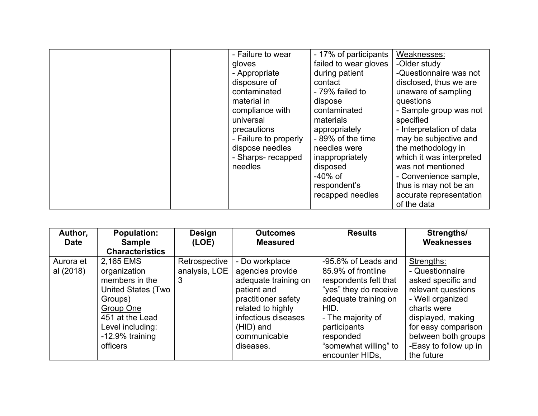|  | - Failure to wear<br>gloves<br>- Appropriate<br>disposure of<br>contaminated<br>material in<br>compliance with<br>universal<br>precautions<br>- Failure to properly<br>dispose needles | - 17% of participants<br>failed to wear gloves<br>during patient<br>contact<br>- 79% failed to<br>dispose<br>contaminated<br>materials<br>appropriately<br>-89% of the time<br>needles were | Weaknesses:<br>-Older study<br>-Questionnaire was not<br>disclosed, thus we are<br>unaware of sampling<br>questions<br>- Sample group was not<br>specified<br>- Interpretation of data<br>may be subjective and<br>the methodology in |
|--|----------------------------------------------------------------------------------------------------------------------------------------------------------------------------------------|---------------------------------------------------------------------------------------------------------------------------------------------------------------------------------------------|---------------------------------------------------------------------------------------------------------------------------------------------------------------------------------------------------------------------------------------|
|  | - Sharps- recapped<br>needles                                                                                                                                                          | inappropriately<br>disposed<br>$-40\%$ of<br>respondent's<br>recapped needles                                                                                                               | which it was interpreted<br>was not mentioned<br>- Convenience sample,<br>thus is may not be an<br>accurate representation<br>of the data                                                                                             |

| Author,     | <b>Population:</b>        | <b>Design</b> | <b>Outcomes</b>      | <b>Results</b>        | Strengths/            |
|-------------|---------------------------|---------------|----------------------|-----------------------|-----------------------|
| <b>Date</b> | <b>Sample</b>             | (LOE)         | <b>Measured</b>      |                       | Weaknesses            |
|             | <b>Characteristics</b>    |               |                      |                       |                       |
| Aurora et   | 2,165 EMS                 | Retrospective | - Do workplace       | -95.6% of Leads and   | Strengths:            |
| al (2018)   | organization              | analysis, LOE | agencies provide     | 85.9% of frontline    | - Questionnaire       |
|             | members in the            | 3             | adequate training on | respondents felt that | asked specific and    |
|             | <b>United States (Two</b> |               | patient and          | "yes" they do receive | relevant questions    |
|             | Groups)                   |               | practitioner safety  | adequate training on  | - Well organized      |
|             | Group One                 |               | related to highly    | HID.                  | charts were           |
|             | 451 at the Lead           |               | infectious diseases  | - The majority of     | displayed, making     |
|             | Level including:          |               | (HID) and            | participants          | for easy comparison   |
|             | -12.9% training           |               | communicable         | responded             | between both groups   |
|             | officers                  |               | diseases.            | "somewhat willing" to | -Easy to follow up in |
|             |                           |               |                      | encounter HIDs.       | the future            |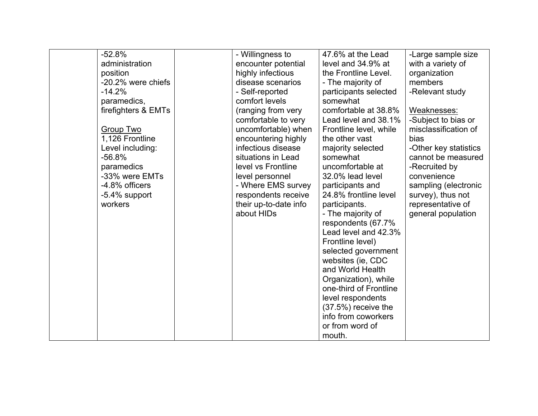| $-52.8%$            | - Willingness to      | 47.6% at the Lead      | -Large sample size    |
|---------------------|-----------------------|------------------------|-----------------------|
| administration      | encounter potential   | level and 34.9% at     | with a variety of     |
| position            | highly infectious     | the Frontline Level.   | organization          |
| -20.2% were chiefs  | disease scenarios     | - The majority of      | members               |
| $-14.2%$            | - Self-reported       | participants selected  | -Relevant study       |
| paramedics,         | comfort levels        | somewhat               |                       |
| firefighters & EMTs | (ranging from very    | comfortable at 38.8%   | Weaknesses:           |
|                     | comfortable to very   | Lead level and 38.1%   | -Subject to bias or   |
| Group Two           | uncomfortable) when   | Frontline level, while | misclassification of  |
| 1,126 Frontline     | encountering highly   | the other vast         | bias                  |
| Level including:    | infectious disease    | majority selected      | -Other key statistics |
| $-56.8%$            | situations in Lead    | somewhat               | cannot be measured    |
| paramedics          | level vs Frontline    | uncomfortable at       | -Recruited by         |
| -33% were EMTs      | level personnel       | 32.0% lead level       | convenience           |
| -4.8% officers      | - Where EMS survey    | participants and       | sampling (electronic  |
| $-5.4\%$ support    | respondents receive   | 24.8% frontline level  | survey), thus not     |
| workers             |                       |                        |                       |
|                     | their up-to-date info | participants.          | representative of     |
|                     | about HIDs            | - The majority of      | general population    |
|                     |                       | respondents (67.7%     |                       |
|                     |                       | Lead level and 42.3%   |                       |
|                     |                       | Frontline level)       |                       |
|                     |                       | selected government    |                       |
|                     |                       | websites (ie, CDC      |                       |
|                     |                       | and World Health       |                       |
|                     |                       | Organization), while   |                       |
|                     |                       | one-third of Frontline |                       |
|                     |                       | level respondents      |                       |
|                     |                       | $(37.5%)$ receive the  |                       |
|                     |                       | info from coworkers    |                       |
|                     |                       | or from word of        |                       |
|                     |                       | mouth.                 |                       |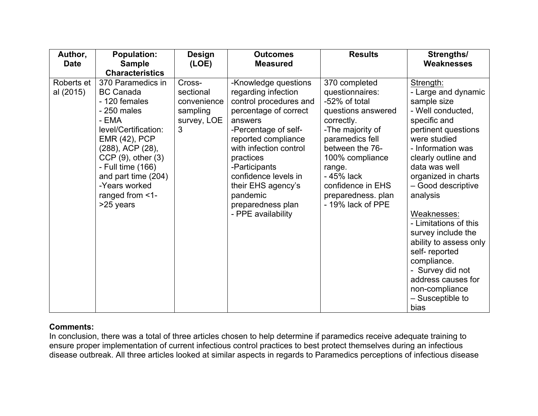| Author,<br><b>Date</b>  | <b>Population:</b><br><b>Sample</b><br><b>Characteristics</b>                                                                                                                                                                                                              | <b>Design</b><br>(LOE)                                             | <b>Outcomes</b><br><b>Measured</b>                                                                                                                                                                                                                                                                                    | <b>Results</b>                                                                                                                                                                                                                                             | Strengths/<br><b>Weaknesses</b>                                                                                                                                                                                                                                                                                                                                                                                                                                   |
|-------------------------|----------------------------------------------------------------------------------------------------------------------------------------------------------------------------------------------------------------------------------------------------------------------------|--------------------------------------------------------------------|-----------------------------------------------------------------------------------------------------------------------------------------------------------------------------------------------------------------------------------------------------------------------------------------------------------------------|------------------------------------------------------------------------------------------------------------------------------------------------------------------------------------------------------------------------------------------------------------|-------------------------------------------------------------------------------------------------------------------------------------------------------------------------------------------------------------------------------------------------------------------------------------------------------------------------------------------------------------------------------------------------------------------------------------------------------------------|
| Roberts et<br>al (2015) | 370 Paramedics in<br><b>BC Canada</b><br>- 120 females<br>$-250$ males<br>- EMA<br>level/Certification:<br><b>EMR (42), PCP</b><br>(288), ACP (28),<br>$CCP(9)$ , other $(3)$<br>- Full time (166)<br>and part time (204)<br>-Years worked<br>ranged from <1-<br>>25 years | Cross-<br>sectional<br>convenience<br>sampling<br>survey, LOE<br>3 | -Knowledge questions<br>regarding infection<br>control procedures and<br>percentage of correct<br>answers<br>-Percentage of self-<br>reported compliance<br>with infection control<br>practices<br>-Participants<br>confidence levels in<br>their EHS agency's<br>pandemic<br>preparedness plan<br>- PPE availability | 370 completed<br>questionnaires:<br>-52% of total<br>questions answered<br>correctly.<br>-The majority of<br>paramedics fell<br>between the 76-<br>100% compliance<br>range.<br>- 45% lack<br>confidence in EHS<br>preparedness. plan<br>- 19% lack of PPE | Strength:<br>- Large and dynamic<br>sample size<br>- Well conducted,<br>specific and<br>pertinent questions<br>were studied<br>- Information was<br>clearly outline and<br>data was well<br>organized in charts<br>- Good descriptive<br>analysis<br>Weaknesses:<br>- Limitations of this<br>survey include the<br>ability to assess only<br>self-reported<br>compliance.<br>- Survey did not<br>address causes for<br>non-compliance<br>- Susceptible to<br>bias |

### **Comments:**

In conclusion, there was a total of three articles chosen to help determine if paramedics receive adequate training to ensure proper implementation of current infectious control practices to best protect themselves during an infectious disease outbreak. All three articles looked at similar aspects in regards to Paramedics perceptions of infectious disease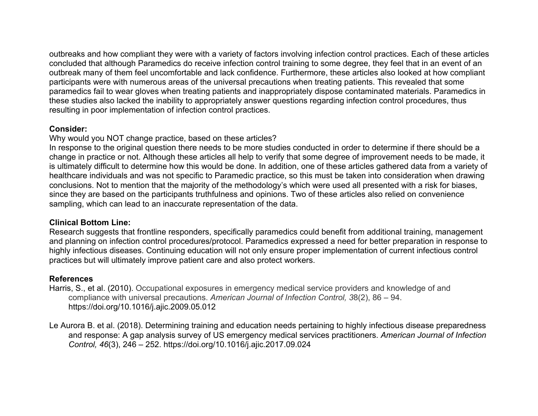outbreaks and how compliant they were with a variety of factors involving infection control practices. Each of these articles concluded that although Paramedics do receive infection control training to some degree, they feel that in an event of an outbreak many of them feel uncomfortable and lack confidence. Furthermore, these articles also looked at how compliant participants were with numerous areas of the universal precautions when treating patients. This revealed that some paramedics fail to wear gloves when treating patients and inappropriately dispose contaminated materials. Paramedics in these studies also lacked the inability to appropriately answer questions regarding infection control procedures, thus resulting in poor implementation of infection control practices.

#### **Consider:**

Why would you NOT change practice, based on these articles?

In response to the original question there needs to be more studies conducted in order to determine if there should be a change in practice or not. Although these articles all help to verify that some degree of improvement needs to be made, it is ultimately difficult to determine how this would be done. In addition, one of these articles gathered data from a variety of healthcare individuals and was not specific to Paramedic practice, so this must be taken into consideration when drawing conclusions. Not to mention that the majority of the methodology's which were used all presented with a risk for biases, since they are based on the participants truthfulness and opinions. Two of these articles also relied on convenience sampling, which can lead to an inaccurate representation of the data.

### **Clinical Bottom Line:**

Research suggests that frontline responders, specifically paramedics could benefit from additional training, management and planning on infection control procedures/protocol. Paramedics expressed a need for better preparation in response to highly infectious diseases. Continuing education will not only ensure proper implementation of current infectious control practices but will ultimately improve patient care and also protect workers.

### **References**

Harris, S., et al. (2010). Occupational exposures in emergency medical service providers and knowledge of and compliance with universal precautions. *American Journal of Infection Control, 3*8(2), 86 – 94. https://doi.org/10.1016/j.ajic.2009.05.012

Le Aurora B. et al. (2018). Determining training and education needs pertaining to highly infectious disease preparedness and response: A gap analysis survey of US emergency medical services practitioners. *American Journal of Infection Control, 46*(3), 246 – 252. https://doi.org/10.1016/j.ajic.2017.09.024